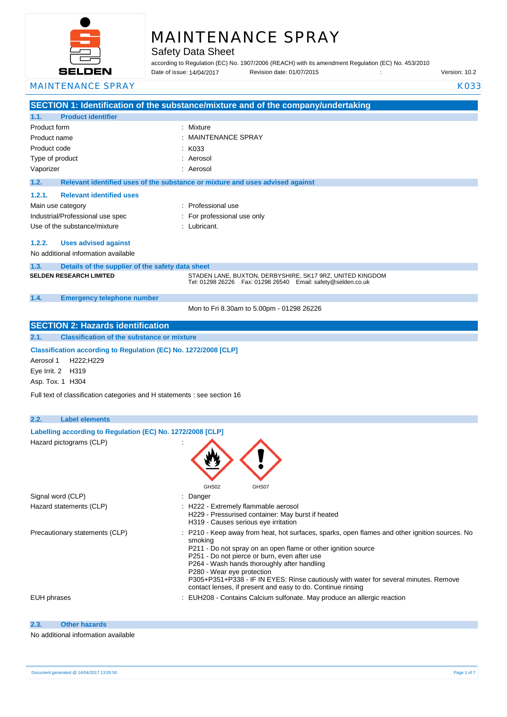

# MAINTENANCE SPRAY

Safety Data Sheet

according to Regulation (EC) No. 1907/2006 (REACH) with its amendment Regulation (EC) No. 453/2010 Date of issue: Revision date: 01/07/2015 : Version: 10.2 Date of issue: 14/04/2017

#### MAINTENANCE SPRAY KO33

|                    |                                                                          | SECTION 1: Identification of the substance/mixture and of the company/undertaking                                               |
|--------------------|--------------------------------------------------------------------------|---------------------------------------------------------------------------------------------------------------------------------|
| 1.1.               | <b>Product identifier</b>                                                |                                                                                                                                 |
| Product form       |                                                                          | : Mixture                                                                                                                       |
| Product name       |                                                                          | <b>MAINTENANCE SPRAY</b>                                                                                                        |
| Product code       |                                                                          | K033                                                                                                                            |
|                    |                                                                          | : Aerosol                                                                                                                       |
| Type of product    |                                                                          |                                                                                                                                 |
| Vaporizer          |                                                                          | : Aerosol                                                                                                                       |
| 1.2.               |                                                                          | Relevant identified uses of the substance or mixture and uses advised against                                                   |
| 1.2.1.             | <b>Relevant identified uses</b>                                          |                                                                                                                                 |
|                    | Main use category                                                        | Professional use                                                                                                                |
|                    | Industrial/Professional use spec                                         | For professional use only                                                                                                       |
|                    | Use of the substance/mixture                                             | Lubricant.                                                                                                                      |
|                    |                                                                          |                                                                                                                                 |
| 1.2.2.             | <b>Uses advised against</b>                                              |                                                                                                                                 |
|                    | No additional information available                                      |                                                                                                                                 |
| 1.3.               | Details of the supplier of the safety data sheet                         |                                                                                                                                 |
|                    | <b>SELDEN RESEARCH LIMITED</b>                                           | STADEN LANE, BUXTON, DERBYSHIRE, SK17 9RZ, UNITED KINGDOM<br>Tel: 01298 26226    Fax: 01298 26540    Email: safety@selden.co.uk |
|                    |                                                                          |                                                                                                                                 |
| 1.4.               | <b>Emergency telephone number</b>                                        |                                                                                                                                 |
|                    |                                                                          | Mon to Fri 8.30am to 5.00pm - 01298 26226                                                                                       |
|                    | <b>SECTION 2: Hazards identification</b>                                 |                                                                                                                                 |
| 2.1.               | <b>Classification of the substance or mixture</b>                        |                                                                                                                                 |
|                    |                                                                          |                                                                                                                                 |
|                    | Classification according to Regulation (EC) No. 1272/2008 [CLP]          |                                                                                                                                 |
| Aerosol 1          | H222;H229                                                                |                                                                                                                                 |
| Eye Irrit. 2 H319  |                                                                          |                                                                                                                                 |
| Asp. Tox. 1 H304   |                                                                          |                                                                                                                                 |
|                    | Full text of classification categories and H statements : see section 16 |                                                                                                                                 |
|                    |                                                                          |                                                                                                                                 |
| 2.2.               | <b>Label elements</b>                                                    |                                                                                                                                 |
|                    | Labelling according to Regulation (EC) No. 1272/2008 [CLP]               |                                                                                                                                 |
|                    | Hazard pictograms (CLP)                                                  |                                                                                                                                 |
|                    |                                                                          |                                                                                                                                 |
|                    |                                                                          |                                                                                                                                 |
|                    |                                                                          |                                                                                                                                 |
|                    |                                                                          |                                                                                                                                 |
|                    |                                                                          | GHS02<br>GHS07                                                                                                                  |
| Signal word (CLP)  |                                                                          | Danger                                                                                                                          |
|                    | Hazard statements (CLP)                                                  | : H222 - Extremely flammable aerosol                                                                                            |
|                    |                                                                          | H229 - Pressurised container: May burst if heated<br>H319 - Causes serious eye irritation                                       |
|                    | Precautionary statements (CLP)                                           | P210 - Keep away from heat, hot surfaces, sparks, open flames and other ignition sources. No                                    |
|                    |                                                                          | smoking                                                                                                                         |
|                    |                                                                          | P211 - Do not spray on an open flame or other ignition source                                                                   |
|                    |                                                                          | P251 - Do not pierce or burn, even after use                                                                                    |
|                    |                                                                          | P264 - Wash hands thoroughly after handling<br>P280 - Wear eye protection                                                       |
|                    |                                                                          | P305+P351+P338 - IF IN EYES: Rinse cautiously with water for several minutes. Remove                                            |
|                    |                                                                          | contact lenses, if present and easy to do. Continue rinsing                                                                     |
| <b>EUH</b> phrases |                                                                          | EUH208 - Contains Calcium sulfonate. May produce an allergic reaction                                                           |
|                    |                                                                          |                                                                                                                                 |
| 2.3.               | <b>Other hazards</b>                                                     |                                                                                                                                 |
|                    |                                                                          |                                                                                                                                 |

### No additional information available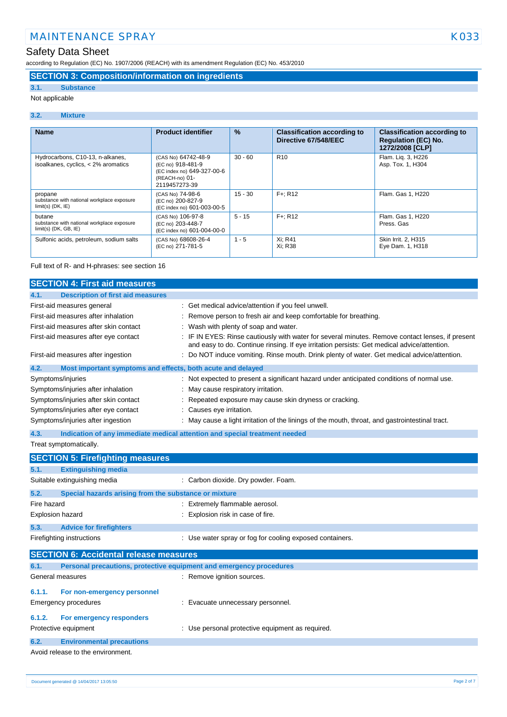according to Regulation (EC) No. 1907/2006 (REACH) with its amendment Regulation (EC) No. 453/2010

### **SECTION 3: Composition/information on ingredients**

### **3.1. Substance**

### Not applicable

#### **3.2. Mixture**

| <b>Name</b>                                                                     | <b>Product identifier</b>                                                                                 | $\frac{9}{6}$ | <b>Classification according to</b><br>Directive 67/548/EEC | <b>Classification according to</b><br><b>Regulation (EC) No.</b><br>1272/2008 [CLP] |
|---------------------------------------------------------------------------------|-----------------------------------------------------------------------------------------------------------|---------------|------------------------------------------------------------|-------------------------------------------------------------------------------------|
| Hydrocarbons, C10-13, n-alkanes,<br>isoalkanes, cyclics, < 2% aromatics         | (CAS No) 64742-48-9<br>(EC no) 918-481-9<br>(EC index no) 649-327-00-6<br>(REACH-no) 01-<br>2119457273-39 | $30 - 60$     | R <sub>10</sub>                                            | Flam. Lig. 3, H226<br>Asp. Tox. 1, H304                                             |
| propane<br>substance with national workplace exposure<br>$limit(s)$ (DK, $IE$ ) | (CAS No) 74-98-6<br>(EC no) 200-827-9<br>(EC index no) 601-003-00-5                                       | $15 - 30$     | $F +: R12$                                                 | Flam, Gas 1, H220                                                                   |
| butane<br>substance with national workplace exposure<br>$limit(s)$ (DK, GB, IE) | (CAS No) 106-97-8<br>(EC no) 203-448-7<br>(EC index no) 601-004-00-0                                      | $5 - 15$      | $F +: R12$                                                 | Flam. Gas 1, H220<br>Press, Gas                                                     |
| Sulfonic acids, petroleum, sodium salts                                         | (CAS No) 68608-26-4<br>(EC no) 271-781-5                                                                  | $1 - 5$       | Xi: R41<br>Xi: R38                                         | Skin Irrit. 2, H315<br>Eye Dam. 1, H318                                             |

#### Full text of R- and H-phrases: see section 16

| <b>SECTION 4: First aid measures</b>                                                                                                                                                                                                                                                 |                                                                                                                                                                                                                                                                                                                                                                                                                                                                                                                                                           |  |  |  |
|--------------------------------------------------------------------------------------------------------------------------------------------------------------------------------------------------------------------------------------------------------------------------------------|-----------------------------------------------------------------------------------------------------------------------------------------------------------------------------------------------------------------------------------------------------------------------------------------------------------------------------------------------------------------------------------------------------------------------------------------------------------------------------------------------------------------------------------------------------------|--|--|--|
| 4.1.<br><b>Description of first aid measures</b>                                                                                                                                                                                                                                     |                                                                                                                                                                                                                                                                                                                                                                                                                                                                                                                                                           |  |  |  |
| First-aid measures general<br>First-aid measures after inhalation<br>First-aid measures after skin contact<br>First-aid measures after eye contact<br>First-aid measures after ingestion<br>4.2.<br>Most important symptoms and effects, both acute and delayed<br>Symptoms/injuries | : Get medical advice/attention if you feel unwell.<br>Remove person to fresh air and keep comfortable for breathing.<br>Wash with plenty of soap and water.<br>: IF IN EYES: Rinse cautiously with water for several minutes. Remove contact lenses, if present<br>and easy to do. Continue rinsing. If eye irritation persists: Get medical advice/attention.<br>: Do NOT induce vomiting. Rinse mouth. Drink plenty of water. Get medical advice/attention.<br>Not expected to present a significant hazard under anticipated conditions of normal use. |  |  |  |
| Symptoms/injuries after inhalation                                                                                                                                                                                                                                                   | May cause respiratory irritation.                                                                                                                                                                                                                                                                                                                                                                                                                                                                                                                         |  |  |  |
| Symptoms/injuries after skin contact                                                                                                                                                                                                                                                 | Repeated exposure may cause skin dryness or cracking.                                                                                                                                                                                                                                                                                                                                                                                                                                                                                                     |  |  |  |
| Symptoms/injuries after eye contact                                                                                                                                                                                                                                                  | Causes eye irritation.                                                                                                                                                                                                                                                                                                                                                                                                                                                                                                                                    |  |  |  |
| Symptoms/injuries after ingestion                                                                                                                                                                                                                                                    | May cause a light irritation of the linings of the mouth, throat, and gastrointestinal tract.                                                                                                                                                                                                                                                                                                                                                                                                                                                             |  |  |  |
| 4.3.                                                                                                                                                                                                                                                                                 | Indication of any immediate medical attention and special treatment needed                                                                                                                                                                                                                                                                                                                                                                                                                                                                                |  |  |  |
| Treat symptomatically.                                                                                                                                                                                                                                                               |                                                                                                                                                                                                                                                                                                                                                                                                                                                                                                                                                           |  |  |  |
| <b>SECTION 5: Firefighting measures</b>                                                                                                                                                                                                                                              |                                                                                                                                                                                                                                                                                                                                                                                                                                                                                                                                                           |  |  |  |
| 5.1.<br><b>Extinguishing media</b>                                                                                                                                                                                                                                                   |                                                                                                                                                                                                                                                                                                                                                                                                                                                                                                                                                           |  |  |  |
| Suitable extinguishing media                                                                                                                                                                                                                                                         | : Carbon dioxide. Dry powder. Foam.                                                                                                                                                                                                                                                                                                                                                                                                                                                                                                                       |  |  |  |
| 5.2.<br>Special hazards arising from the substance or mixture                                                                                                                                                                                                                        |                                                                                                                                                                                                                                                                                                                                                                                                                                                                                                                                                           |  |  |  |
| Fire hazard                                                                                                                                                                                                                                                                          | : Extremely flammable aerosol.                                                                                                                                                                                                                                                                                                                                                                                                                                                                                                                            |  |  |  |
| Explosion hazard                                                                                                                                                                                                                                                                     | : Explosion risk in case of fire.                                                                                                                                                                                                                                                                                                                                                                                                                                                                                                                         |  |  |  |
| 5.3.<br><b>Advice for firefighters</b>                                                                                                                                                                                                                                               |                                                                                                                                                                                                                                                                                                                                                                                                                                                                                                                                                           |  |  |  |
| Firefighting instructions                                                                                                                                                                                                                                                            | : Use water spray or fog for cooling exposed containers.                                                                                                                                                                                                                                                                                                                                                                                                                                                                                                  |  |  |  |
| <b>SECTION 6: Accidental release measures</b>                                                                                                                                                                                                                                        |                                                                                                                                                                                                                                                                                                                                                                                                                                                                                                                                                           |  |  |  |
| 6.1.                                                                                                                                                                                                                                                                                 | Personal precautions, protective equipment and emergency procedures                                                                                                                                                                                                                                                                                                                                                                                                                                                                                       |  |  |  |
| General measures                                                                                                                                                                                                                                                                     | : Remove ignition sources.                                                                                                                                                                                                                                                                                                                                                                                                                                                                                                                                |  |  |  |
| 6.1.1.<br>For non-emergency personnel                                                                                                                                                                                                                                                |                                                                                                                                                                                                                                                                                                                                                                                                                                                                                                                                                           |  |  |  |
| <b>Emergency procedures</b>                                                                                                                                                                                                                                                          | : Evacuate unnecessary personnel.                                                                                                                                                                                                                                                                                                                                                                                                                                                                                                                         |  |  |  |
| 6.1.2.<br>For emergency responders                                                                                                                                                                                                                                                   |                                                                                                                                                                                                                                                                                                                                                                                                                                                                                                                                                           |  |  |  |
| Protective equipment                                                                                                                                                                                                                                                                 | : Use personal protective equipment as required.                                                                                                                                                                                                                                                                                                                                                                                                                                                                                                          |  |  |  |
| 6.2.<br><b>Environmental precautions</b>                                                                                                                                                                                                                                             |                                                                                                                                                                                                                                                                                                                                                                                                                                                                                                                                                           |  |  |  |
| Avoid release to the environment.                                                                                                                                                                                                                                                    |                                                                                                                                                                                                                                                                                                                                                                                                                                                                                                                                                           |  |  |  |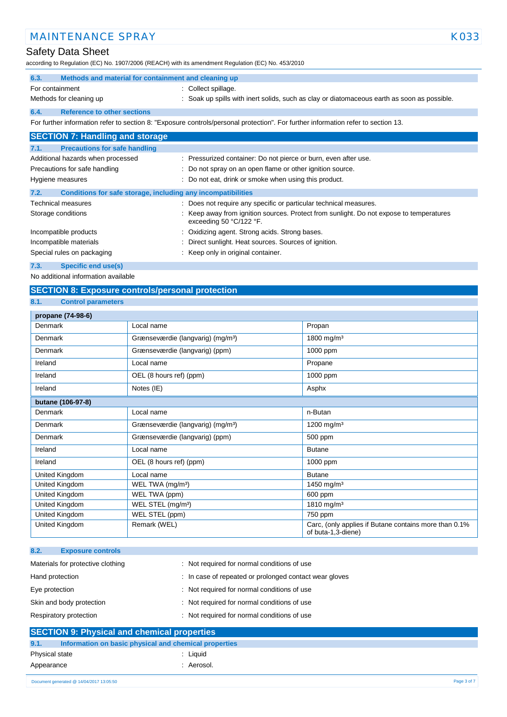### Safety Data Sheet

according to Regulation (EC) No. 1907/2006 (REACH) with its amendment Regulation (EC) No. 453/2010

|                               | according to Regulation (EC) No. 1907/2006 (REACH) with its amendment Regulation (EC) No. 453/2010 |                                                                                                                                   |  |
|-------------------------------|----------------------------------------------------------------------------------------------------|-----------------------------------------------------------------------------------------------------------------------------------|--|
| 6.3.                          | Methods and material for containment and cleaning up                                               |                                                                                                                                   |  |
| For containment               |                                                                                                    | : Collect spillage.                                                                                                               |  |
|                               | Methods for cleaning up                                                                            | : Soak up spills with inert solids, such as clay or diatomaceous earth as soon as possible.                                       |  |
| 6.4.                          | <b>Reference to other sections</b>                                                                 |                                                                                                                                   |  |
|                               |                                                                                                    | For further information refer to section 8: "Exposure controls/personal protection". For further information refer to section 13. |  |
|                               | <b>SECTION 7: Handling and storage</b>                                                             |                                                                                                                                   |  |
| 7.1.                          | <b>Precautions for safe handling</b>                                                               |                                                                                                                                   |  |
|                               | Additional hazards when processed                                                                  | : Pressurized container: Do not pierce or burn, even after use.                                                                   |  |
| Precautions for safe handling |                                                                                                    | : Do not spray on an open flame or other ignition source.                                                                         |  |
| Hygiene measures              |                                                                                                    | : Do not eat, drink or smoke when using this product.                                                                             |  |
| 7.2.                          | Conditions for safe storage, including any incompatibilities                                       |                                                                                                                                   |  |

| <b>Technical measures</b>  | : Does not require any specific or particular technical measures.                                                  |
|----------------------------|--------------------------------------------------------------------------------------------------------------------|
| Storage conditions         | Keep away from ignition sources. Protect from sunlight. Do not expose to temperatures<br>exceeding 50 $°C/122$ °F. |
| Incompatible products      | : Oxidizing agent. Strong acids. Strong bases.                                                                     |
| Incompatible materials     | : Direct sunlight. Heat sources. Sources of ignition.                                                              |
| Special rules on packaging | : Keep only in original container.                                                                                 |

**7.3. Specific end use(s)**

No additional information available

### **SECTION 8: Exposure controls/personal protection**

#### **8.1. Control parameters**

| propane (74-98-6) |                                               |                                                                             |  |  |
|-------------------|-----------------------------------------------|-----------------------------------------------------------------------------|--|--|
| Denmark           | Local name                                    | Propan                                                                      |  |  |
| Denmark           | Grænseværdie (langvarig) (mg/m <sup>3</sup> ) | 1800 mg/m <sup>3</sup>                                                      |  |  |
| Denmark           | Grænseværdie (langvarig) (ppm)                | 1000 ppm                                                                    |  |  |
| Ireland           | Local name                                    | Propane                                                                     |  |  |
| Ireland           | OEL (8 hours ref) (ppm)                       | 1000 ppm                                                                    |  |  |
| Ireland           | Notes (IE)                                    | Asphx                                                                       |  |  |
| butane (106-97-8) |                                               |                                                                             |  |  |
| Denmark           | Local name                                    | n-Butan                                                                     |  |  |
| Denmark           | Grænseværdie (langvarig) (mg/m <sup>3</sup> ) | 1200 mg/m <sup>3</sup>                                                      |  |  |
| Denmark           | Grænseværdie (langvarig) (ppm)                | 500 ppm                                                                     |  |  |
| Ireland           | Local name                                    | <b>Butane</b>                                                               |  |  |
| Ireland           | OEL (8 hours ref) (ppm)                       | 1000 ppm                                                                    |  |  |
| United Kingdom    | Local name                                    | <b>Butane</b>                                                               |  |  |
| United Kingdom    | WEL TWA (mg/m <sup>3</sup> )                  | 1450 mg/m <sup>3</sup>                                                      |  |  |
| United Kingdom    | WEL TWA (ppm)                                 | 600 ppm                                                                     |  |  |
| United Kingdom    | WEL STEL (mg/m <sup>3</sup> )                 | 1810 mg/m <sup>3</sup>                                                      |  |  |
| United Kingdom    | WEL STEL (ppm)                                | 750 ppm                                                                     |  |  |
| United Kingdom    | Remark (WEL)                                  | Carc, (only applies if Butane contains more than 0.1%<br>of buta-1,3-diene) |  |  |

| 8.2.<br><b>Exposure controls</b>  |                                                        |
|-----------------------------------|--------------------------------------------------------|
| Materials for protective clothing | : Not required for normal conditions of use            |
| Hand protection                   | : In case of repeated or prolonged contact wear gloves |
| Eye protection                    | : Not required for normal conditions of use            |
| Skin and body protection          | : Not required for normal conditions of use            |
| Respiratory protection            | : Not required for normal conditions of use            |
| ________                          |                                                        |

| 9.1.           | Information on basic physical and chemical properties |
|----------------|-------------------------------------------------------|
|                |                                                       |
| Physical state | Liauid                                                |
| Appearance     | : Aerosol.                                            |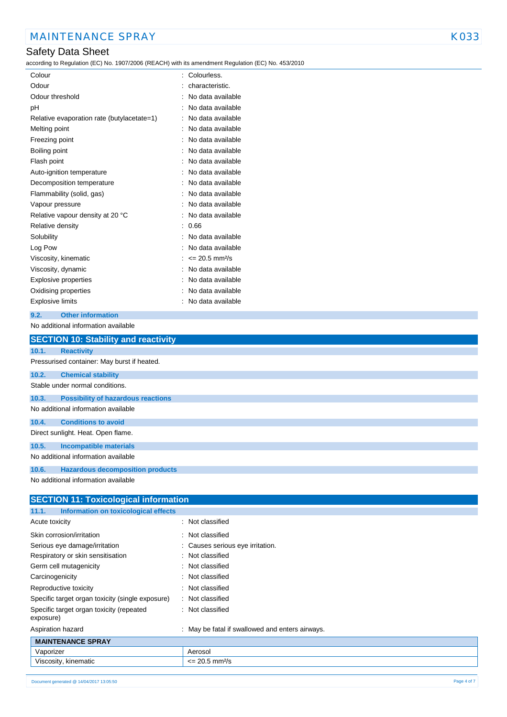### Safety Data Sheet

according to Regulation (EC) No. 1907/2006 (REACH) with its amendment Regulation (EC) No. 453/2010

| Colour                                     | Colourless.                    |
|--------------------------------------------|--------------------------------|
| Odour                                      | characteristic.                |
| Odour threshold                            | No data available              |
| рH                                         | No data available              |
| Relative evaporation rate (butylacetate=1) | No data available              |
| Melting point                              | No data available              |
| Freezing point                             | No data available              |
| Boiling point                              | No data available              |
| Flash point                                | No data available              |
| Auto-ignition temperature                  | No data available              |
| Decomposition temperature                  | No data available              |
| Flammability (solid, gas)                  | No data available              |
| Vapour pressure                            | No data available              |
| Relative vapour density at 20 °C           | No data available              |
| Relative density                           | 0.66                           |
| Solubility                                 | No data available              |
| Log Pow                                    | No data available              |
| Viscosity, kinematic                       | $\leq$ 20.5 mm <sup>2</sup> /s |
| Viscosity, dynamic                         | No data available              |
| Explosive properties                       | No data available              |
| Oxidising properties                       | No data available              |
| <b>Explosive limits</b>                    | No data available              |
|                                            |                                |

#### **9.2. Other information** No additional information available

|       | <b>SECTION 10: Stability and reactivity</b> |  |  |  |  |
|-------|---------------------------------------------|--|--|--|--|
| 10.1. | <b>Reactivity</b>                           |  |  |  |  |
|       | Pressurised container: May burst if heated. |  |  |  |  |
| 10.2. | <b>Chemical stability</b>                   |  |  |  |  |
|       | Stable under normal conditions.             |  |  |  |  |
| 10.3. | <b>Possibility of hazardous reactions</b>   |  |  |  |  |
|       | No additional information available         |  |  |  |  |
| 10.4. | <b>Conditions to avoid</b>                  |  |  |  |  |
|       | Direct sunlight. Heat. Open flame.          |  |  |  |  |
| 10.5. | <b>Incompatible materials</b>               |  |  |  |  |
|       | No additional information available         |  |  |  |  |
| 10.6. | <b>Hazardous decomposition products</b>     |  |  |  |  |
|       | No additional information available         |  |  |  |  |

| <b>SECTION 11: Toxicological information</b>          |                                                 |  |  |  |
|-------------------------------------------------------|-------------------------------------------------|--|--|--|
| Information on toxicological effects<br>11.1.         |                                                 |  |  |  |
| Acute toxicity                                        | : Not classified                                |  |  |  |
| Skin corrosion/irritation                             | : Not classified                                |  |  |  |
| Serious eye damage/irritation                         | : Causes serious eye irritation.                |  |  |  |
| Respiratory or skin sensitisation                     | : Not classified                                |  |  |  |
| Germ cell mutagenicity                                | : Not classified                                |  |  |  |
| Carcinogenicity                                       | : Not classified                                |  |  |  |
| Reproductive toxicity                                 | : Not classified                                |  |  |  |
| Specific target organ toxicity (single exposure)      | : Not classified                                |  |  |  |
| Specific target organ toxicity (repeated<br>exposure) | : Not classified                                |  |  |  |
| Aspiration hazard                                     | : May be fatal if swallowed and enters airways. |  |  |  |
| <b>MAINTENANCE SPRAY</b>                              |                                                 |  |  |  |
| Vaporizer                                             | Aerosol                                         |  |  |  |
| Viscosity, kinematic                                  | $\epsilon$ = 20.5 mm <sup>2</sup> /s            |  |  |  |
|                                                       |                                                 |  |  |  |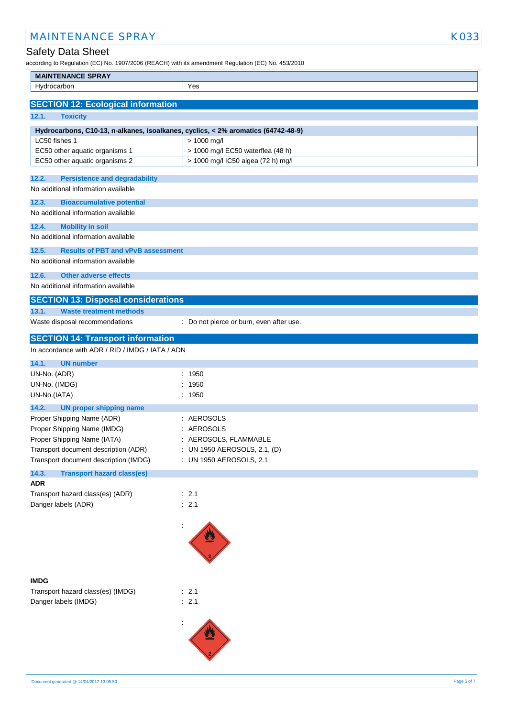| according to Regulation (EC) No. 1907/2006 (REACH) with its amendment Regulation (EC) No. 453/2010 |                                          |  |  |
|----------------------------------------------------------------------------------------------------|------------------------------------------|--|--|
| <b>MAINTENANCE SPRAY</b>                                                                           |                                          |  |  |
| Hydrocarbon                                                                                        | Yes                                      |  |  |
| <b>SECTION 12: Ecological information</b>                                                          |                                          |  |  |
| 12.1.<br><b>Toxicity</b>                                                                           |                                          |  |  |
| Hydrocarbons, C10-13, n-alkanes, isoalkanes, cyclics, < 2% aromatics (64742-48-9)                  |                                          |  |  |
| LC50 fishes 1                                                                                      | > 1000 mg/l                              |  |  |
| EC50 other aquatic organisms 1                                                                     | > 1000 mg/l EC50 waterflea (48 h)        |  |  |
| EC50 other aquatic organisms 2                                                                     | > 1000 mg/l IC50 algea (72 h) mg/l       |  |  |
|                                                                                                    |                                          |  |  |
| 12.2.<br><b>Persistence and degradability</b><br>No additional information available               |                                          |  |  |
|                                                                                                    |                                          |  |  |
| <b>Bioaccumulative potential</b><br>12.3.<br>No additional information available                   |                                          |  |  |
|                                                                                                    |                                          |  |  |
| 12.4.<br><b>Mobility in soil</b>                                                                   |                                          |  |  |
| No additional information available                                                                |                                          |  |  |
| 12.5.<br><b>Results of PBT and vPvB assessment</b>                                                 |                                          |  |  |
| No additional information available                                                                |                                          |  |  |
| 12.6.<br><b>Other adverse effects</b>                                                              |                                          |  |  |
| No additional information available                                                                |                                          |  |  |
| <b>SECTION 13: Disposal considerations</b>                                                         |                                          |  |  |
| 13.1.<br><b>Waste treatment methods</b>                                                            |                                          |  |  |
| Waste disposal recommendations                                                                     | : Do not pierce or burn, even after use. |  |  |
| <b>SECTION 14: Transport information</b>                                                           |                                          |  |  |
| In accordance with ADR / RID / IMDG / IATA / ADN                                                   |                                          |  |  |
| 14.1.<br><b>UN number</b>                                                                          |                                          |  |  |
| UN-No. (ADR)                                                                                       | : 1950                                   |  |  |
| UN-No. (IMDG)                                                                                      | 1950                                     |  |  |
| UN-No.(IATA)                                                                                       | : 1950                                   |  |  |
| 14.2.<br><b>UN proper shipping name</b>                                                            |                                          |  |  |
| Proper Shipping Name (ADR)                                                                         | : AEROSOLS                               |  |  |
| Proper Shipping Name (IMDG)                                                                        | : AEROSOLS                               |  |  |
| Proper Shipping Name (IATA)                                                                        | AEROSOLS, FLAMMABLE                      |  |  |
| Transport document description (ADR)                                                               | : UN 1950 AEROSOLS, 2.1, (D)             |  |  |
| Transport document description (IMDG)                                                              | : UN 1950 AEROSOLS, 2.1                  |  |  |
| 14.3.<br><b>Transport hazard class(es)</b>                                                         |                                          |  |  |
| <b>ADR</b>                                                                                         |                                          |  |  |
| Transport hazard class(es) (ADR)                                                                   | : 2.1                                    |  |  |
| Danger labels (ADR)                                                                                | : 2.1                                    |  |  |
|                                                                                                    |                                          |  |  |
|                                                                                                    |                                          |  |  |
|                                                                                                    |                                          |  |  |
|                                                                                                    |                                          |  |  |
|                                                                                                    |                                          |  |  |
| <b>IMDG</b>                                                                                        |                                          |  |  |
| Transport hazard class(es) (IMDG)                                                                  | : 2.1                                    |  |  |
| Danger labels (IMDG)                                                                               | : 2.1                                    |  |  |
|                                                                                                    |                                          |  |  |
|                                                                                                    |                                          |  |  |
|                                                                                                    |                                          |  |  |
|                                                                                                    |                                          |  |  |
|                                                                                                    |                                          |  |  |

MAINTENANCE SPRAY KO33

Safety Data Sheet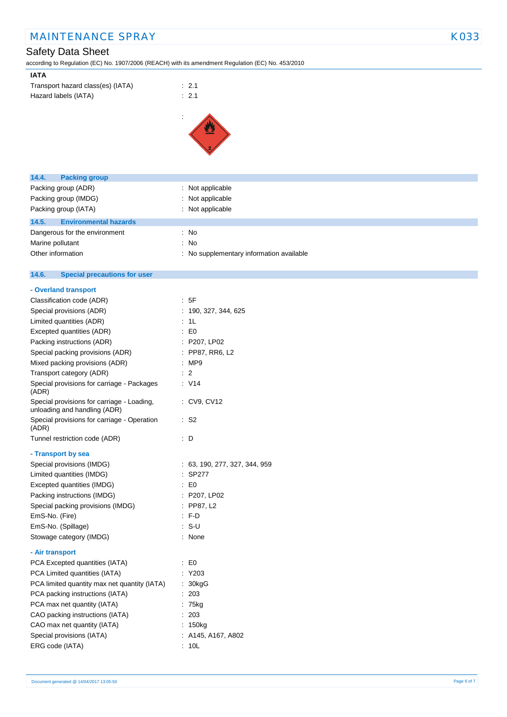## MAINTENANCE SPRAY KO33

# Safety Data Sheet

according to Regulation (EC) No. 1907/2006 (REACH) with its amendment Regulation (EC) No. 453/2010

| Transport hazard class(es) (IATA) | $\therefore$ 2.1 |
|-----------------------------------|------------------|
| Hazard labels (IATA)              | $\therefore$ 2.1 |



| 14.4.<br><b>Packing group</b>                                              |                                          |
|----------------------------------------------------------------------------|------------------------------------------|
| Packing group (ADR)                                                        | : Not applicable                         |
| Packing group (IMDG)                                                       | Not applicable                           |
| Packing group (IATA)                                                       | : Not applicable                         |
| <b>Environmental hazards</b><br>14.5.                                      |                                          |
| Dangerous for the environment                                              | : No                                     |
| Marine pollutant                                                           | No<br>÷                                  |
| Other information                                                          | : No supplementary information available |
|                                                                            |                                          |
| <b>Special precautions for user</b><br>14.6.                               |                                          |
| - Overland transport                                                       |                                          |
| Classification code (ADR)                                                  | : 5F                                     |
| Special provisions (ADR)                                                   | : 190, 327, 344, 625                     |
| Limited quantities (ADR)                                                   | : 1L                                     |
| Excepted quantities (ADR)                                                  | $\mathbf{E}$ = $\mathbf{E}$              |
| Packing instructions (ADR)                                                 | : P207, LP02                             |
| Special packing provisions (ADR)                                           | : PP87, RR6, L2                          |
| Mixed packing provisions (ADR)                                             | :MP9                                     |
| Transport category (ADR)                                                   | : 2                                      |
| Special provisions for carriage - Packages<br>(ADR)                        | : V14                                    |
| Special provisions for carriage - Loading,<br>unloading and handling (ADR) | : CV9, CV12                              |
| Special provisions for carriage - Operation<br>(ADR)                       | $\cdot$ S2                               |
| Tunnel restriction code (ADR)                                              | : D                                      |
| - Transport by sea                                                         |                                          |
| Special provisions (IMDG)                                                  | : 63, 190, 277, 327, 344, 959            |
| Limited quantities (IMDG)                                                  | : SP277                                  |
| Excepted quantities (IMDG)                                                 | $\mathbf{E}$ = $\mathbf{E}$              |
| Packing instructions (IMDG)                                                | : P207, LP02                             |
| Special packing provisions (IMDG)                                          | $:$ PP87, L2                             |
| EmS-No. (Fire)                                                             | : FD                                     |
| EmS-No. (Spillage)                                                         | $S-U$                                    |
| Stowage category (IMDG)                                                    | : None                                   |
| - Air transport                                                            |                                          |
| PCA Excepted quantities (IATA)                                             | $\therefore$ EO                          |
| PCA Limited quantities (IATA)                                              | : Y203                                   |
| PCA limited quantity max net quantity (IATA)                               | 30kgG                                    |
| PCA packing instructions (IATA)                                            | : 203                                    |
| PCA max net quantity (IATA)                                                | : 75kg                                   |
| CAO packing instructions (IATA)                                            | 203                                      |
| CAO max net quantity (IATA)                                                | : 150kg                                  |
| Special provisions (IATA)                                                  | : A145, A167, A802                       |
| ERG code (IATA)                                                            | : 10L                                    |
|                                                                            |                                          |